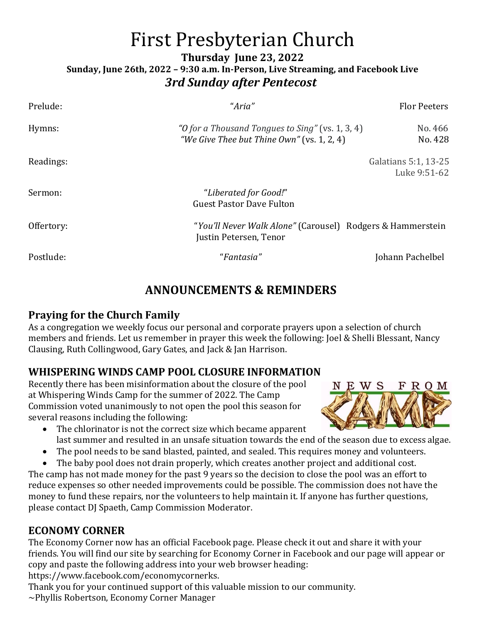# First Presbyterian Church

**Thursday June 23, 2022**

**Sunday, June 26th, 2022 – 9:30 a.m. In-Person, Live Streaming, and Facebook Live** *3rd Sunday after Pentecost*

| Prelude:   | "Aria"                                                                                         | <b>Flor Peeters</b>                  |
|------------|------------------------------------------------------------------------------------------------|--------------------------------------|
| Hymns:     | "O for a Thousand Tongues to Sing" (vs. 1, 3, 4)<br>"We Give Thee but Thine Own" (vs. 1, 2, 4) | No. 466<br>No. 428                   |
| Readings:  |                                                                                                | Galatians 5:1, 13-25<br>Luke 9:51-62 |
| Sermon:    | "Liberated for Good!"<br><b>Guest Pastor Dave Fulton</b>                                       |                                      |
| Offertory: | "You'll Never Walk Alone" (Carousel) Rodgers & Hammerstein<br>Justin Petersen, Tenor           |                                      |
| Postlude:  | "Fantasia"                                                                                     | Johann Pachelbel                     |

# **ANNOUNCEMENTS & REMINDERS**

## **Praying for the Church Family**

As a congregation we weekly focus our personal and corporate prayers upon a selection of church members and friends. Let us remember in prayer this week the following: Joel & Shelli Blessant, Nancy Clausing, Ruth Collingwood, Gary Gates, and Jack & Jan Harrison.

## **WHISPERING WINDS CAMP POOL CLOSURE INFORMATION**

Recently there has been misinformation about the closure of the pool at Whispering Winds Camp for the summer of 2022. The Camp Commission voted unanimously to not open the pool this season for several reasons including the following:



- The chlorinator is not the correct size which became apparent last summer and resulted in an unsafe situation towards the end of the season due to excess algae.
- The pool needs to be sand blasted, painted, and sealed. This requires money and volunteers.
- The baby pool does not drain properly, which creates another project and additional cost.

The camp has not made money for the past 9 years so the decision to close the pool was an effort to reduce expenses so other needed improvements could be possible. The commission does not have the money to fund these repairs, nor the volunteers to help maintain it. If anyone has further questions, please contact DJ Spaeth, Camp Commission Moderator.

## **ECONOMY CORNER**

The Economy Corner now has an official Facebook page. Please check it out and share it with your friends. You will find our site by searching for Economy Corner in Facebook and our page will appear or copy and paste the following address into your web browser heading:

[https://www.facebook.com/economycornerks.](https://www.facebook.com/economycornerks)

Thank you for your continued support of this valuable mission to our community.

~Phyllis Robertson, Economy Corner Manager